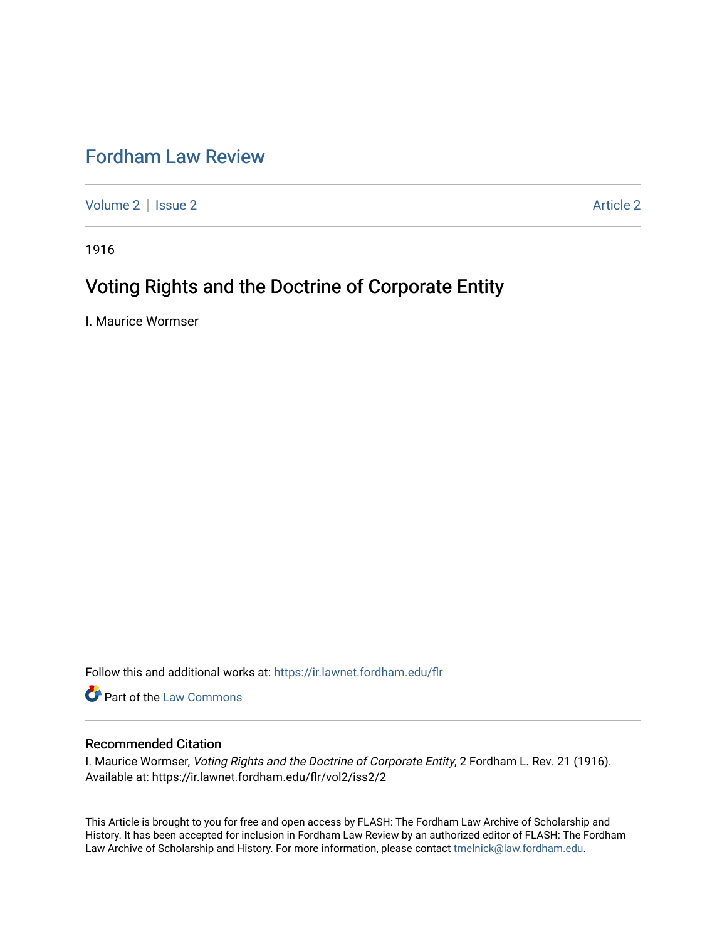## [Fordham Law Review](https://ir.lawnet.fordham.edu/flr)

[Volume 2](https://ir.lawnet.fordham.edu/flr/vol2) | [Issue 2](https://ir.lawnet.fordham.edu/flr/vol2/iss2) Article 2

1916

## Voting Rights and the Doctrine of Corporate Entity

I. Maurice Wormser

Follow this and additional works at: [https://ir.lawnet.fordham.edu/flr](https://ir.lawnet.fordham.edu/flr?utm_source=ir.lawnet.fordham.edu%2Fflr%2Fvol2%2Fiss2%2F2&utm_medium=PDF&utm_campaign=PDFCoverPages)

Part of the [Law Commons](http://network.bepress.com/hgg/discipline/578?utm_source=ir.lawnet.fordham.edu%2Fflr%2Fvol2%2Fiss2%2F2&utm_medium=PDF&utm_campaign=PDFCoverPages)

## Recommended Citation

I. Maurice Wormser, Voting Rights and the Doctrine of Corporate Entity, 2 Fordham L. Rev. 21 (1916). Available at: https://ir.lawnet.fordham.edu/flr/vol2/iss2/2

This Article is brought to you for free and open access by FLASH: The Fordham Law Archive of Scholarship and History. It has been accepted for inclusion in Fordham Law Review by an authorized editor of FLASH: The Fordham Law Archive of Scholarship and History. For more information, please contact [tmelnick@law.fordham.edu](mailto:tmelnick@law.fordham.edu).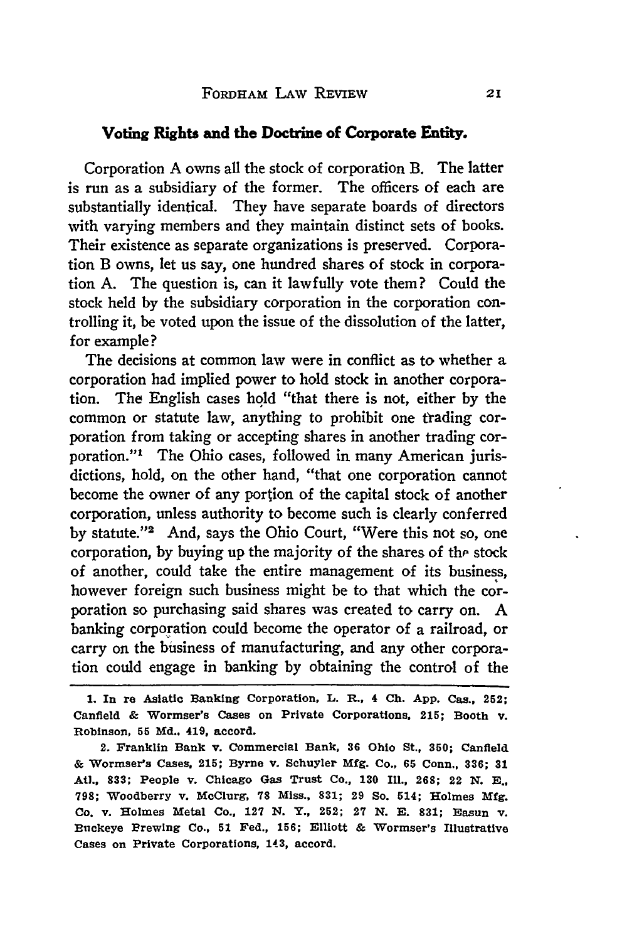## **Voting Rights and the Doctrine of Corporate Entity.**

Corporation A owns all the stock of corporation B. The latter is run as a subsidiary of the former. The officers of each are substantially identical. They have separate boards of directors with varying members and they maintain distinct sets of books. Their existence as separate organizations is preserved. Corporation B owns, let us say, one hundred shares of stock in corporation A. The question is, can it lawfully vote them? Could the stock held by the subsidiary corporation in the corporation controlling it, be voted upon the issue of the dissolution of the latter, for example?

The decisions at common law were in conflict as to whether a corporation had implied power to hold stock in another corporation. The English cases hold "that there is not, either by the common or statute law, anything to prohibit one trading corporation from taking or accepting shares in another trading corporation."' The Ohio cases, followed in many American jurisdictions, hold, on the other hand, "that one corporation cannot become the owner of any portion of the capital stock of another corporation, unless authority to become such is clearly conferred by statute."2 And, says the Ohio Court, "Were this not so, one corporation, by buying up the majority of the shares of the stock of another, could take the entire management of its business, however foreign such business might be to that which the corporation so purchasing said shares was created to carry on. **A** banking corporation could become the operator of a railroad, or carry on the business of manufacturing, and any other corporation could engage in banking by obtaining the control of the

**<sup>1.</sup> In re Asiatic Banking Corporation, L. R., 4 Ch. App. Cas.,** 252; **Canfield & Wormser's Cases on Private Corporations, 215; Booth v. Robinson, 55 Md.. 419, accord.**

**<sup>2.</sup> Franklin Bank v. Commercial Bank, 36 Ohio St., 350; Canfield & Wormser's Cases, 215; Byrne v. Schuyler Mfg. Co., 65 Conn., 336; 31 AU., 833; People v. Chicago Gas Trust Co., 130 Ill., 268;** 22 **N. E., 798; Woodberry v. McClurg, 78 Miss., 831; 29 So. 514; Holmes Mfg. Co. v. Holmes Metal Co., 127 N. Y., 252; 27 N. E. 831; Easun v. Buckeye Brewing Co., 51 Fed., 156; Elliott & Wormser's Illustrative Cases on Private Corporations, 143, accord.**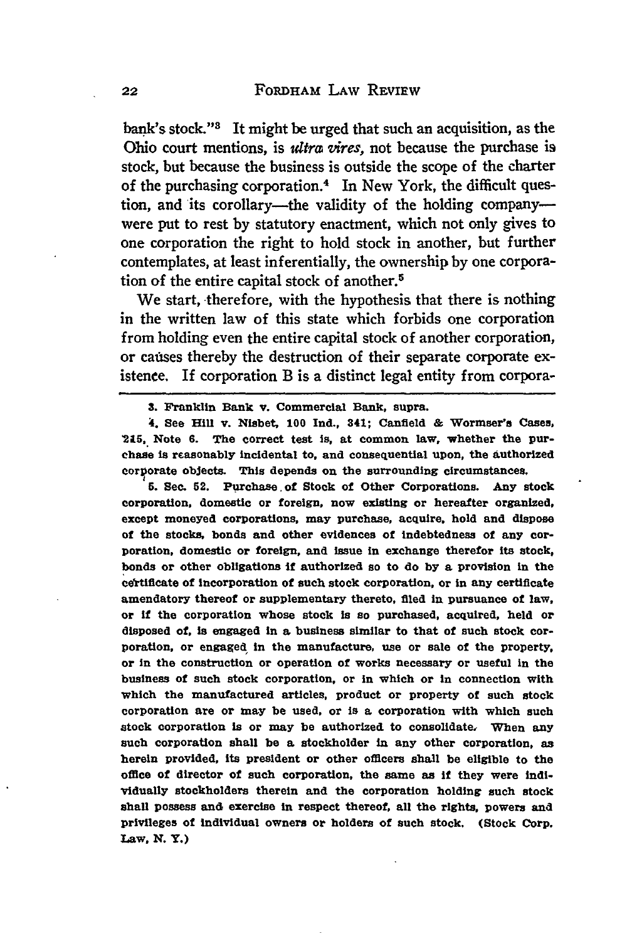bank's stock."<sup>3</sup> It might be urged that such an acquisition, as the Ohio court mentions, is *ultra vires*, not because the purchase is stock, but because the business is outside the scope of the charter of the purchasing corporation.<sup>4</sup> In New York, the difficult question, and its corollary-the validity of the holding companywere put to rest **by** statutory enactment, which not only gives to one corporation the right to hold stock in another, but further contemplates, at least inferentially, the ownership **by** one corporation of the entire capital stock of another.<sup>5</sup>

We start, therefore, with the hypothesis that there is nothing in the written law of this state which forbids one corporation from holding even the entire capital stock of another corporation, or causes thereby the destruction of their separate corporate existence. If corporation B is a distinct legal entity from corpora-

4. See Hill v. Nisbet, 100 **Ind.,** 341; Canfield & Wormser's Cases, **2U5,** Note **6.** The correct test is, at common law, whether the purchase is reasonably incidental to, and consequential upon, the authorized corporate objects. This depends on the surrounding circumstances.

**5.** See. 52. Purchase of Stock of Other Corporations. *Any* stock corporation, domestic or foreign, now existing or hereafter organized, except moneyed corporations, may purchase, acquire, hold and dispose **of** the stocks, bonds and other evidences of indebtedness of any corporation, domestic or foreign, and issue in exchange therefor its stock, bonds or other obligations **if** authorized so to do **by** a provision in the certificate of incorporation of such stock corporation, or in any certificate amendatory thereof or supplementary thereto, filed in pursuance of law, or if the corporation whose stock is so purchased, acquired, held or disposed of. is engaged in a business similar to that of such stock cor**poration,** or engaged In the manufacture, use or sale of the property, or in the construction or operation of works necessary or useful In the business of such stock corporation, or in which or in connection with which the manufactured articles, product or property of such stock corporation are or may be used, or is a corporation with which such stock corporation is or may be authorized to consolidate. When any such corporation shall be a stockholder in any other corporation, as herein provided, its president or other officers shall be eligible to the office of director of such corporation, the same as **If** they were individually stockholders therein and the corporation holding such stock shall possess and exercise in respect thereof, all the rights, powers and privileges of individual owners or holders of such stock. (Stock Corp. Law, **N.** Y.)

**<sup>3.</sup>** Franklin Bank v. Commercial Bank, supra.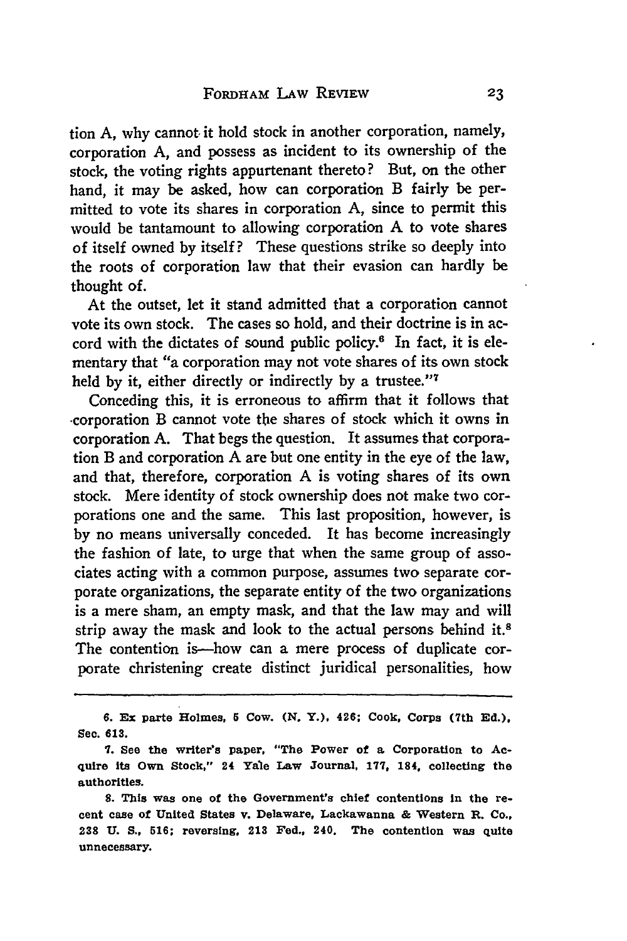tion **A,** why cannot it hold stock in another corporation, namely, corporation A, and possess as incident to its ownership of the stock, the voting rights appurtenant thereto? But, on the other hand, it may be asked, how can corporation B fairly be permitted to vote its shares in corporation A, since to permit this would be tantamount to allowing corporation A to vote shares of itself owned **by** itself? These questions strike so deeply into the roots of corporation law that their evasion can hardly be thought of.

At the outset, let it stand admitted that a corporation cannot vote its own stock. The cases so hold, and their doctrine is in accord with the dictates of sound public policy.6 In fact, it is elementary that "a corporation may not vote shares of its own stock held **by** it, either directly or indirectly **by** a trustee."'7

Conceding this, it is erroneous to affirm that it follows that -corporation B cannot vote the shares of stock which it owns in corporation **A.** That begs the question. It assumes that corporation B and corporation A are but one entity in the eye of the law, and that, therefore, corporation A is voting shares of its own stock. Mere identity of stock ownership does not make two corporations one and the same. This last proposition, however, is **by** no means universally conceded. It has become increasingly the fashion of late, to urge that when the same group of associates acting with a common purpose, assumes two separate corporate organizations, the separate entity of the two organizations is a mere sham, an empty mask, and that the law may and will strip away the mask and look to the actual persons behind it.<sup>8</sup> The contention is—how can a mere process of duplicate corporate christening create distinct juridical personalities, how

**6. Ex** parte Holmes, **5** Cow. *(N.* Y.), 426; Cook, Corps (7th **Ed.),** Sec. **613.**

**S.** This was one of the Government's chief contentions In the recent case of United States v. Delaware, Lackawanna **&** Western R. Co., **238 U. S., 516;** reversing, 213 Fed., 240. The contention was quite unnecessary.

**<sup>7.</sup>** See the writer's paper, **"The** Power of a Corporation to **Ac**quire its Own Stock," 24 Yale Law Journal, **177,** 184, collecting the authorities.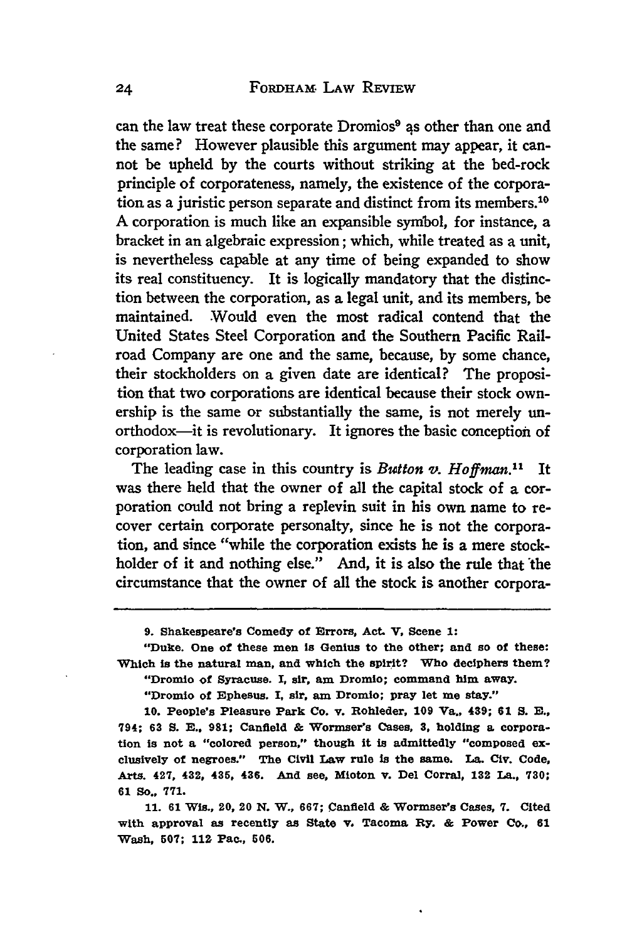can the law treat these corporate Dromios<sup>9</sup> as other than one and the same? However plausible this argument may appear, it cannot be upheld by the courts without striking at the bed-rock principle of corporateness, namely, the existence of the corporation as a juristic person separate and distinct from its members.10 A corporation is much like an expansible symbol, for instance, a bracket in an algebraic expression; which, while treated as a unit, is nevertheless capable at any time of being expanded to show its real constituency. It is logically mandatory that the distinction between the corporation, as a legal unit, and its members, be maintained. Would even the most radical contend that the United States Steel Corporation and the Southern Pacific Railroad Company are one and the same, because, by some chance, their stockholders on a given date are identical? The proposition that two corporations are identical because their stock ownership is the same or substantially the same, is not merely unorthodox-it is revolutionary. It ignores the basic conception of corporation law.

The leading case in this country is *Button v. Hoffman.*<sup>11</sup> It was there held that the owner of all the capital stock of a corporation could not bring a replevin suit in his own name to recover certain corporate personalty, since he is not the corporation, and since "while the corporation exists he is a mere stockholder of it and nothing else." And, it is also the rule that the circumstance that the owner of all the stock is another corpora-

**10.** People's Pleasure Park Co. v. Rohleder, **109** Va., 439; **61 S.** *E.,* **794; 63 S.** *E.,* **981; Canfield & Wormser's Cases, 3, holding a corpora**tion is not a "colored person," though it is admittedly "composed exclusively of negroes." The Civil Law rule is the same. La. Civ. Code, Arts. 427, 432, 435. 436. **And** see, Mioton v. Del Corral, **132** La., **730; 61 So., 771.**

**11. 61 Wis., 20, 20 N. W., 667; Canfield & Wormser's Cases, 7. Cited with approval as recently as State v. Tacoma Ry. & Power Co., 61** Wash, **507; 11Z** Pac., **506.**

**<sup>9.</sup> Shakespeare's Comedy of Errors, Act. V, Scene 1:**

<sup>&</sup>quot;Duke. One of these men **Is** Genius to the other; and so of these: Which is the natural man, and which the spirit? Who deciphers them? "Dromio of Syracuse. I, sir, am Dromio; command him away.

<sup>&</sup>quot;Dromio of Ephesus. I, sir, **am Dromio; pray let me stay."**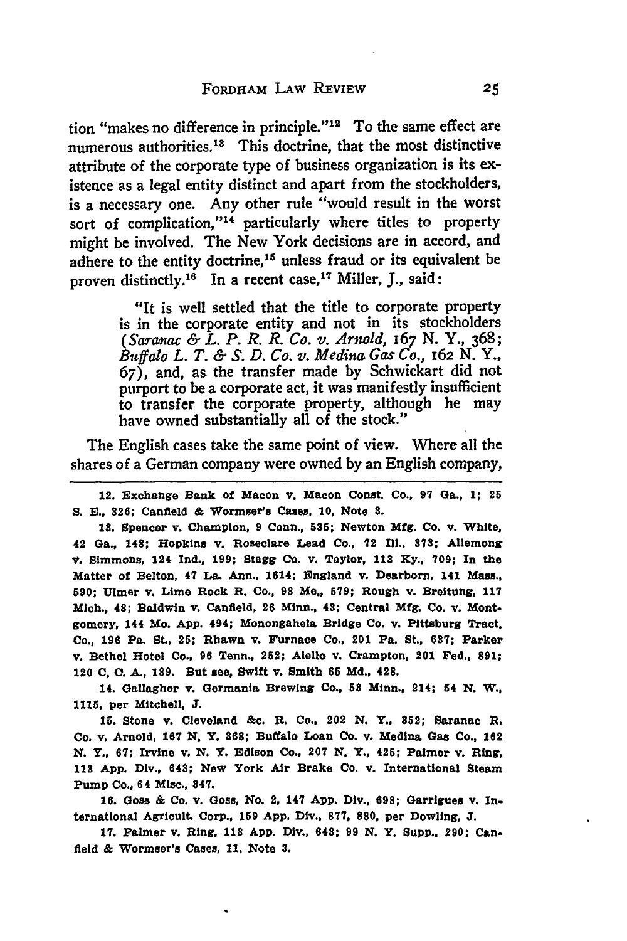tion "makes no difference in principle."<sup>12</sup> To the same effect are numerous authorities.13 This doctrine, that the most distinctive attribute of the corporate type of business organization is its **ex**istence as a legal entity distinct and apart from the stockholders, is a necessary one. Any other rule "would result in the worst sort of complication,"<sup>14</sup> particularly where titles to property might be involved. The New York decisions are in accord, and adhere to the entity doctrine,<sup>16</sup> unless fraud or its equivalent be proven distinctly.<sup>16</sup> In a recent case,<sup>17</sup> Miller, J., said:

> "It is well settled that the title to corporate property is in the corporate entity and not in its stockholders *(Saratac & L. P. R. R. Co. v. Arnold,* 167 N. **Y., 368;** *Butffalo L. T. & S. D. Co. v. Medina Gas Co., 162* N. Y., 67), and, as the transfer made by Schwickart did not purport to be a corporate act, it was manifestly insufficient to transfer the corporate property, although he may have owned substantially all of the stock."

The English cases take the same point of view. Where all the shares of a German company were owned by an English company,

12. Exchange Bank of Macon v. Macon Const. Co., **97** Ga., **1; 26** *S.* **E., 826;** Canfield **&** Wormser'e Cases, **10,** Note **8.**

**18.** Spencer v. Champion, **9** Conn., 585; Newton **Mfg.** Co. v. White, 42 Ga., 148; Hopkins v. Roseclare Lead Co., 72 **Ill., 378;** Allemong V. Simmons, **124 Ind., 199;** Stagg **Co. v.** Taylor, **113 Ky., 709;** In the Matter of Belton, 47 La. Ann., 1614; England v. Dearborn, 141 Mass., **590;** Ulmer v. Lime Rock R. Co., **98** Me., **579;** Rough v. Breitung, **117** Mich., 48; Baldwin **v.** Canfield, 26 Minn., 48; Central **Mfg.** Co. **v.** Montgomery, 144 Mo. **App.** 494; Monongahela Bridge Co. v. Pittsburg Tract. Co., **196** Pa. St., **25;** Rhawn v. Furnace Co., 201 Pa. St., **687;** Parker v. Bethel Hotel Co., **96** Tenn., 252; Aiello **v.** Crampton, 201 Fed., **891;** 120 **C. C. A., 189.** But **see,** Swift v. Smith **66 Md.,** 428.

14. Gallagher v. Germania Brewing Co., **58** Minn., 214; 54 **N.** W., **1115,** per Mitchell, **J.**

**15.** Stone v. Cleveland **&c.** R. Co., 202 **N.** Y., 852; Saranac **i.** Co. v. Arnold, **167 N.** Y. **868;** Buffalo Loan **Co. v.** Medina Gas Co., 162 **N.** *Y.,* **67;** Irvine v. **N. Y.** Edison Co., **207 N.** Y., 426; Palmer v. Ring, **118 App.** Div., 643; New York Air Brake Co. **v.** International Steam Pump Co., **64** Misc., 847.

**16.** Goss & Co. **v.** Goss, No. 2, 147 **App.** Div., **698;** Garrigues v. International Agricult. Corp., **159 App.** Div., **877,** 880, per Dowling, **J.**

**17.** Palmer v. Ring, **118 App.** Div., 648; **99 N.** Y. Supp., **290;** Canfield & Wormser's Cases, **11,** Note **3.**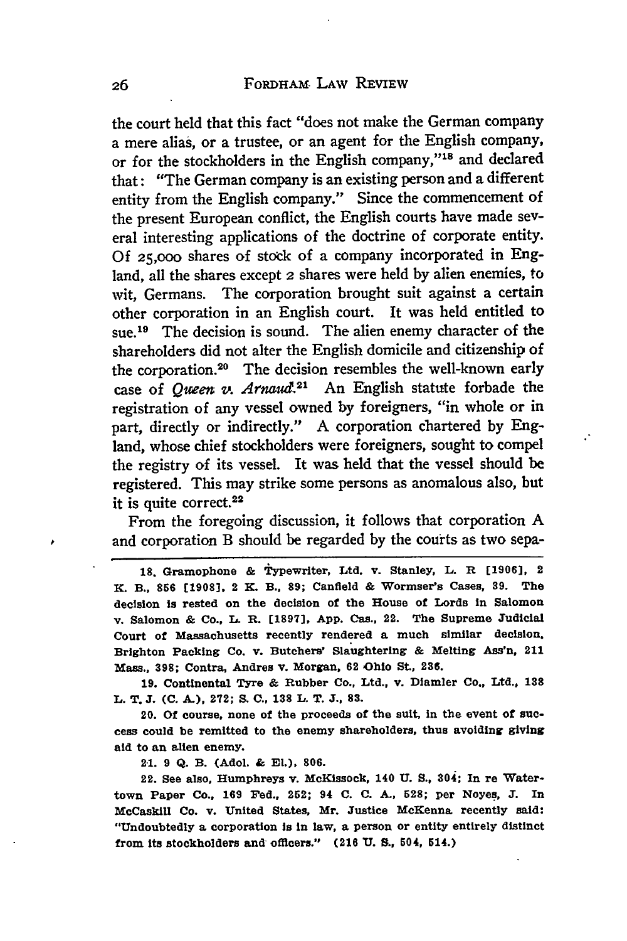the court held that this fact "does not make the German company a mere alias, or a trustee, or an agent for the English company, or for the stockholders in the English company,"<sup>18</sup> and declared that: "The German company is an existing person and a different entity from the English company." Since the commencement of the present European conflict, the English courts have made several interesting applications of the doctrine of corporate entity. **Of 25,000** shares of stock of a company incorporated in England, all the shares except 2 shares were held **by** alien enemies, to wit, Germans. The corporation brought suit against a certain other corporation in an English court. It was held entitled to sue.<sup>19</sup> The decision is sound. The alien enemy character of the shareholders did not alter the English domicile and citizenship of the corporation.20 The decision resembles the well-known early case of *Queen v. Arnaud*.<sup>21</sup> An English statute forbade the registration of any vessel owned **by** foreigners, "in whole or in part, directly or indirectly." A corporation chartered **by** England, whose chief stockholders were foreigners, sought to compel the registry of its vessel. It was held that the vessel should be registered. This may strike some persons as anomalous also, but it is quite correct.<sup>22</sup>

From the foregoing discussion, it follows that corporation A and corporation B should be regarded **by** the courts as two sepa-

**18.** Gramophone **&** Typewriter, Ltd. v. Stanley, L. R **[19061,** 2 **K.** B., **856 [1908],** 2 **K.** B., **89;** Canfield **&** Wormser's Cases, **39.** The decision is rested on the decision of the House of Lords in Salomon v. Salomon **&** Co., **I.** R. **[1897], App.** Cas., 22. The Supreme Judicial Court of Massachusetts recently rendered a much similar decision. Brighton Packing Co. v. Butchers' Slaughtering **&** Melting **Ass'n,** 211 Mass., **398;** Contra, Andres v. Morgan, **62** Ohio St., 236.

**19.** Continental Tyre **&** Rubber Co., Ltd., v. Diamler Co., Ltd., **138** L. T. **J. (C. A.), 272; S, C., 138 L.** T. **J., 83.**

20. Of course, none of the proceeds of the suit, in the event of success could be remitted to the enemy shareholders, thus avoiding giving aid to an alien enemy.

2-1. **9 Q.** B. (Adol. **& El.), 806.**

22. **See** also, Humphreys v. McKlssock, 140 **U. S.,** 304; In re Watertown Paper Co., **169** Fed., 262; 94 **C. C. A., 528;** per Noyes, **T.** In McCaskill Co. v. United States, Mr. Justice McKenna recently said: "Undoubtedly **a** corporation is in law, a person or entity entirely distinct from its stockholders and officers." **(216 U. S., 504,** 514.)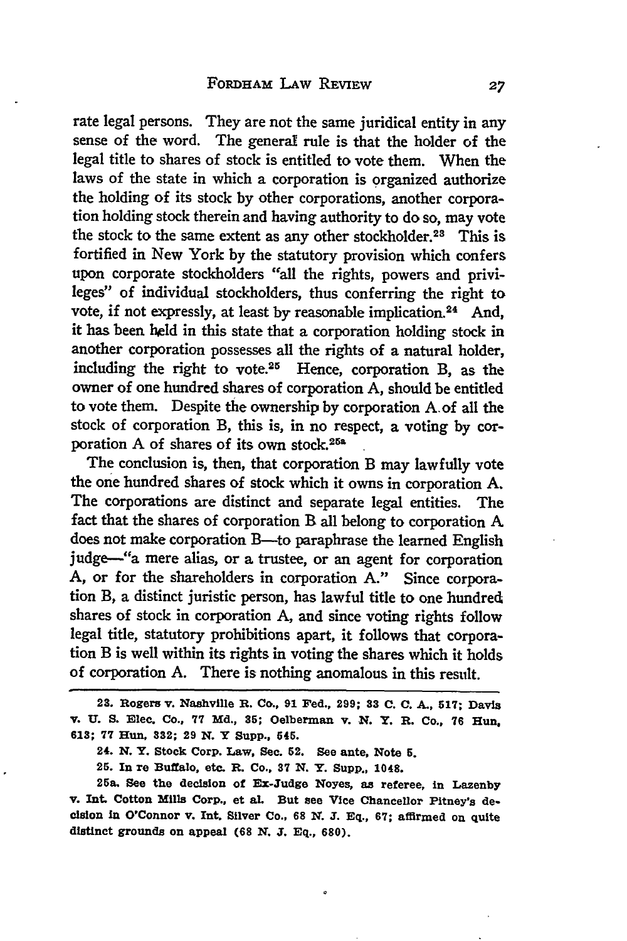rate legal persons. They are not the same juridical entity in any sense of the word. The general rule is that the holder of the legal title to shares of stock is entitled to vote them. When the laws of the state in which a corporation is organized authorize the holding of its stock by other corporations, another corporation holding stock therein and having authority to do so, may vote the stock to the same extent as any other stockholder.<sup>23</sup> This is fortified in New York by the statutory provision which confers upon corporate stockholders "all the rights, powers and privileges" of individual stockholders, thus conferring the right to vote, if not expressly, at least by reasonable implication.<sup>24</sup> And, it has been held in this state that a corporation holding stock in another corporation possesses all the rights of a natural holder, including the right to vote. $25$  Hence, corporation B, as the owner of one hundred shares of corporation A, should be entitled to vote them. Despite the ownership by corporation A. of all the stock of corporation B, this is, in no respect, a voting by corporation A of shares of its own stock.<sup>25a</sup>

The conclusion is, then, that corporation B may lawfully vote the one hundred shares of stock which it owns in corporation A. The corporations are distinct and separate legal entities. The fact that the shares of corporation B all belong to corporation A does not make corporation B-to paraphrase the learned English judge--"a mere alias, or a trustee, or an agent for corporation A, or for the shareholders in corporation A." Since corporation B, a distinct juristic person, has lawful title to one hundred shares of stock in corporation A, and since voting rights follow legal title, statutory prohibitions apart, it follows that corporation B is well within its rights in voting the shares which it holds of corporation A. There is nothing anomalous in this result.

<sup>23.</sup> Rogers v. Nashville R. Co., **91** Fed., **299; 33 C.** C. *A.,* **617;** Davis v. **U. S.** Elec. Co., **77 Md., 35;** Oelberman v. *N.* Y. **R.** Co., **76** Hun, **613; 77** Hun, 332; **29** *N.* Y Supp., 545.

<sup>24.</sup> *N.* **Y.** Stock Corp. Law, Sec. 52. See ante, Note **5.**

<sup>25.</sup> In re Buffalo, etc. R. Co., **37 N.** Y. Supp., 1048.

<sup>25</sup>a. See the decision of Ex-Judge Noyes, as referee, in Lazenby **v. Int.** Cotton Mills Corp., et al. But see Vice Chancellor Pitney's decision In O'Connor v. **Int.** Silver Co., **68 X. J. Eq., 67;** affirmed on quite distinct grounds on appeal **(68** *N.* **J. Eq., 680).**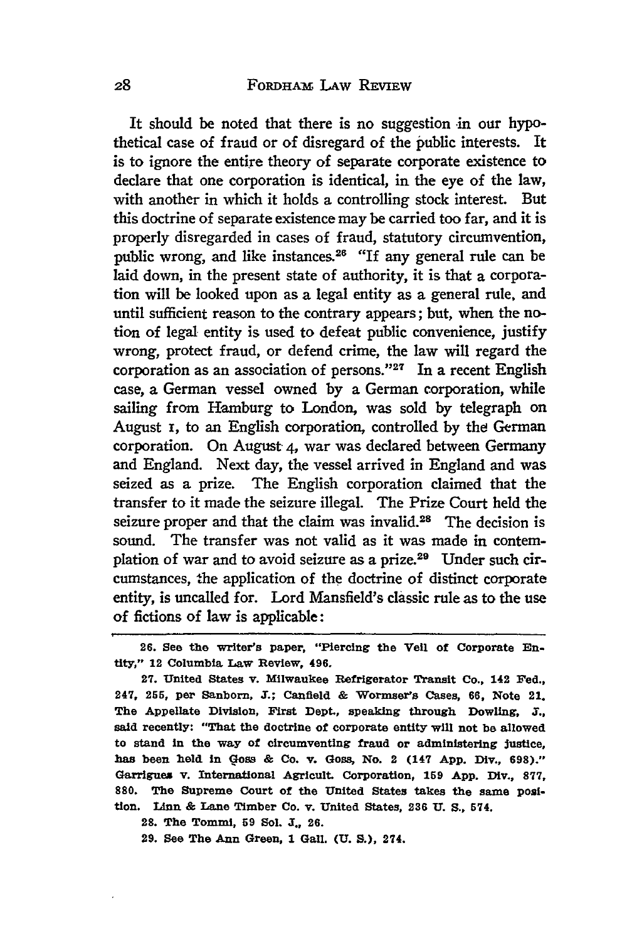It should be noted that there is no suggestion in our hypothetical case of fraud or of disregard of the public interests. It is to ignore the entire theory of separate corporate existence to declare that one corporation is identical, in the eye **of** the law, with another in which it holds a controlling stock interest. But this doctrine of separate existence may be carried too far, and it is properly disregarded in cases of fraud, statutory circumvention, public wrong, and like instances.<sup>26</sup> "If any general rule can be laid down, in the present state of authority, it is that a corporation will be looked upon as a legal entity as a general rule, and until sufficient reason to the contrary appears; but, when the notion of legal entity is used to defeat public convenience, justify wrong, protect fraud, or defend crime, the law will regard the corporation as an association of persons." $27$  In a recent English case, a German vessel owned **by** a German corporation, while sailing from Hamburg to London, was sold by telegraph on August i, to an English corporation, controlled by the German corporation. On August 4, war was declared between Germany and England. Next day, the vessel arrived in England and was seized as a prize. The English corporation claimed that the transfer to it made the seizure illegal. The Prize Court held the seizure proper and that the claim was invalid.<sup>28</sup> The decision is sound. The transfer was not valid as it was made in contemplation of war and to avoid seizure as a prize.29 Under such circumstances, the application of the doctrine of distinct corporate entity, is uncalled for. Lord Mansfield's classic rule as to the use of fictions of law is applicable:

**27.** United States v. Milwaukee Refrigerator Transit Co., 142 Fed., 247, **255,** per Sanborn, **3.;** Canfield **&** Wormser's Cases, **66,** Note 21. The Appellate Division, First Dept., speaking through Dowling, *a.,* said recently: "That the doctrine of corporate entity will not **be** allowed to stand in the way of circumventing fraud or administering Justice, has been **held** in **Goss &** Co. **v.** Goss, No. 2 (147 **App.** Div., **698)."** Garrigues v. International Agricult. Corporation, **159 App.** Div., **877, 880.** The Supreme Court of the United States takes the same **posi**tion. Linn & Lane Timber Co. v. United States, 236 U. S., 574.

28. The Tommi, **59 Sol. J., 26.**

**29.** See The Ann Green, **1** Gall. **(U. S.),** 274.

<sup>26.</sup> See the writer's paper, "Piercing the Veil of Corporate Entity," 12 Columbia **Law** Review, 496.